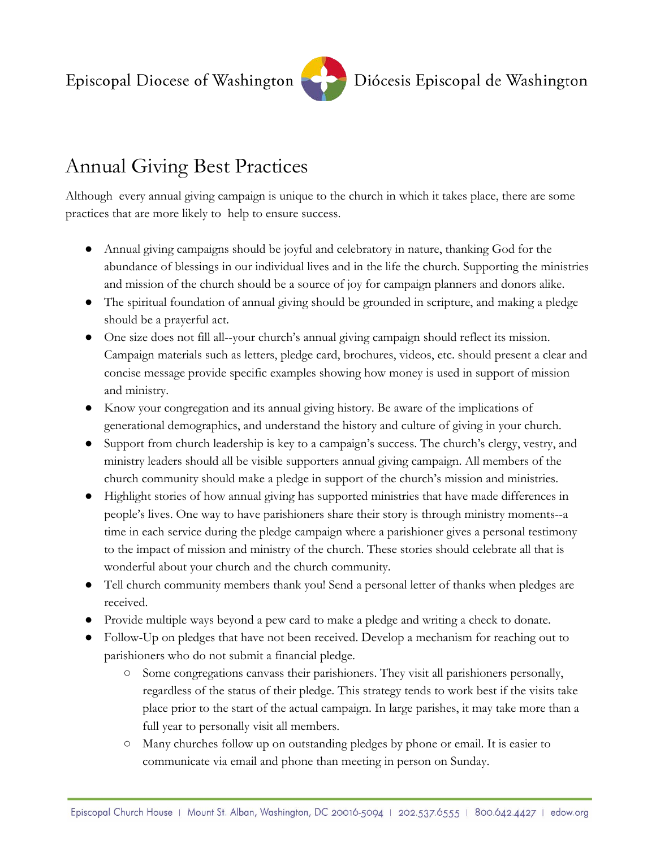Episcopal Diocese of Washington



## Annual Giving Best Practices

Although every annual giving campaign is unique to the church in which it takes place, there are some practices that are more likely to help to ensure success.

- Annual giving campaigns should be joyful and celebratory in nature, thanking God for the abundance of blessings in our individual lives and in the life the church. Supporting the ministries and mission of the church should be a source of joy for campaign planners and donors alike.
- The spiritual foundation of annual giving should be grounded in scripture, and making a pledge should be a prayerful act.
- One size does not fill all--your church's annual giving campaign should reflect its mission. Campaign materials such as letters, pledge card, brochures, videos, etc. should present a clear and concise message provide specific examples showing how money is used in support of mission and ministry.
- Know your congregation and its annual giving history. Be aware of the implications of generational demographics, and understand the history and culture of giving in your church.
- Support from church leadership is key to a campaign's success. The church's clergy, vestry, and ministry leaders should all be visible supporters annual giving campaign. All members of the church community should make a pledge in support of the church's mission and ministries.
- Highlight stories of how annual giving has supported ministries that have made differences in people's lives. One way to have parishioners share their story is through ministry moments--a time in each service during the pledge campaign where a parishioner gives a personal testimony to the impact of mission and ministry of the church. These stories should celebrate all that is wonderful about your church and the church community.
- Tell church community members thank you! Send a personal letter of thanks when pledges are received.
- Provide multiple ways beyond a pew card to make a pledge and writing a check to donate.
- Follow-Up on pledges that have not been received. Develop a mechanism for reaching out to parishioners who do not submit a financial pledge.
	- Some congregations canvass their parishioners. They visit all parishioners personally, regardless of the status of their pledge. This strategy tends to work best if the visits take place prior to the start of the actual campaign. In large parishes, it may take more than a full year to personally visit all members.
	- Many churches follow up on outstanding pledges by phone or email. It is easier to communicate via email and phone than meeting in person on Sunday.